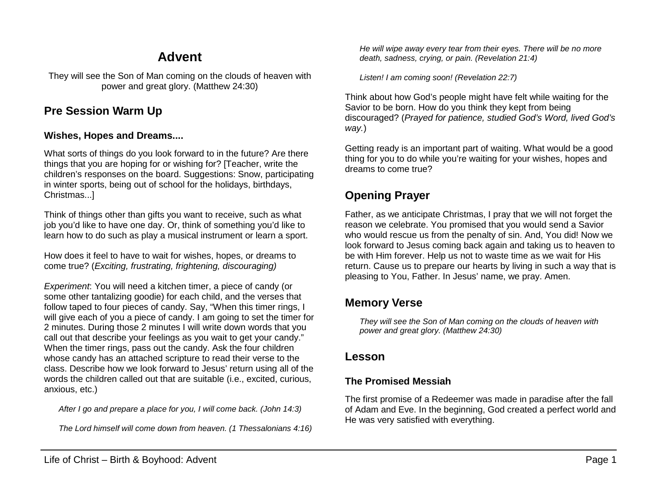# **Advent**

They will see the Son of Man coming on the clouds of heaven with power and great glory. (Matthew 24:30)

## **Pre Session Warm Up**

#### **Wishes, Hopes and Dreams....**

What sorts of things do you look forward to in the future? Are there things that you are hoping for or wishing for? [Teacher, write the children's responses on the board. Suggestions: Snow, participating in winter sports, being out of school for the holidays, birthdays, Christmas...]

Think of things other than gifts you want to receive, such as what job you'd like to have one day. Or, think of something you'd like to learn how to do such as play a musical instrument or learn a sport.

How does it feel to have to wait for wishes, hopes, or dreams to come true? (*Exciting, frustrating, frightening, discouraging)*

*Experiment*: You will need a kitchen timer, a piece of candy (or some other tantalizing goodie) for each child, and the verses that follow taped to four pieces of candy. Say, "When this timer rings, I will give each of you a piece of candy. I am going to set the timer for 2 minutes. During those 2 minutes I will write down words that you call out that describe your feelings as you wait to get your candy." When the timer rings, pass out the candy. Ask the four children whose candy has an attached scripture to read their verse to the class. Describe how we look forward to Jesus' return using all of the words the children called out that are suitable (i.e., excited, curious, anxious, etc.)

*After I go and prepare a place for you, I will come back. (John 14:3)*

*The Lord himself will come down from heaven. (1 Thessalonians 4:16)*

*He will wipe away every tear from their eyes. There will be no more death, sadness, crying, or pain. (Revelation 21:4)*

*Listen! I am coming soon! (Revelation 22:7)*

Think about how God's people might have felt while waiting for the Savior to be born. How do you think they kept from being discouraged? (*Prayed for patience, studied God's Word, lived God's way.*)

Getting ready is an important part of waiting. What would be a good thing for you to do while you're waiting for your wishes, hopes and dreams to come true?

# **Opening Prayer**

Father, as we anticipate Christmas, I pray that we will not forget the reason we celebrate. You promised that you would send a Savior who would rescue us from the penalty of sin. And, You did! Now we look forward to Jesus coming back again and taking us to heaven to be with Him forever. Help us not to waste time as we wait for His return. Cause us to prepare our hearts by living in such a way that is pleasing to You, Father. In Jesus' name, we pray. Amen.

### **Memory Verse**

*They will see the Son of Man coming on the clouds of heaven with power and great glory. (Matthew 24:30)*

### **Lesson**

#### **The Promised Messiah**

The first promise of a Redeemer was made in paradise after the fall of Adam and Eve. In the beginning, God created a perfect world and He was very satisfied with everything.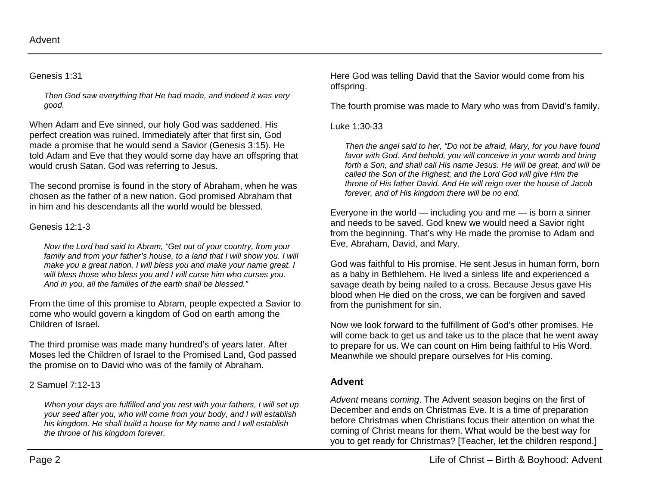#### Genesis 1:31

*Then God saw everything that He had made, and indeed it was very good.*

When Adam and Eve sinned, our holy God was saddened. His perfect creation was ruined. Immediately after that first sin, God made a promise that he would send a Savior (Genesis 3:15). He told Adam and Eve that they would some day have an offspring that would crush Satan. God was referring to Jesus.

The second promise is found in the story of Abraham, when he was chosen as the father of a new nation. God promised Abraham that in him and his descendants all the world would be blessed.

### Genesis 12:1-3

*Now the Lord had said to Abram, "Get out of your country, from your*  family and from your father's house, to a land that I will show you. I will *make you a great nation. I will bless you and make your name great. I will bless those who bless you and I will curse him who curses you. And in you, all the families of the earth shall be blessed."*

From the time of this promise to Abram, people expected a Savior to come who would govern a kingdom of God on earth among the Children of Israel.

The third promise was made many hundred's of years later. After Moses led the Children of Israel to the Promised Land, God passed the promise on to David who was of the family of Abraham.

### 2 Samuel 7:12-13

*When your days are fulfilled and you rest with your fathers, I will set up your seed after you, who will come from your body, and I will establish his kingdom. He shall build a house for My name and I will establish the throne of his kingdom forever.*

Here God was telling David that the Savior would come from his offspring.

The fourth promise was made to Mary who was from David's family.

#### Luke 1:30-33

*Then the angel said to her, "Do not be afraid, Mary, for you have found favor with God. And behold, you will conceive in your womb and bring forth a Son, and shall call His name Jesus. He will be great, and will be called the Son of the Highest; and the Lord God will give Him the throne of His father David. And He will reign over the house of Jacob forever, and of His kingdom there will be no end.*

Everyone in the world  $-$  including you and me  $-$  is born a sinner and needs to be saved. God knew we would need a Savior right from the beginning. That's why He made the promise to Adam and Eve, Abraham, David, and Mary.

God was faithful to His promise. He sent Jesus in human form, born as a baby in Bethlehem. He lived a sinless life and experienced a savage death by being nailed to a cross. Because Jesus gave His blood when He died on the cross, we can be forgiven and saved from the punishment for sin.

Now we look forward to the fulfillment of God's other promises. He will come back to get us and take us to the place that he went away to prepare for us. We can count on Him being faithful to His Word. Meanwhile we should prepare ourselves for His coming.

### **Advent**

*Advent* means *coming*. The Advent season begins on the first of December and ends on Christmas Eve. It is a time of preparation before Christmas when Christians focus their attention on what the coming of Christ means for them. What would be the best way for you to get ready for Christmas? [Teacher, let the children respond.]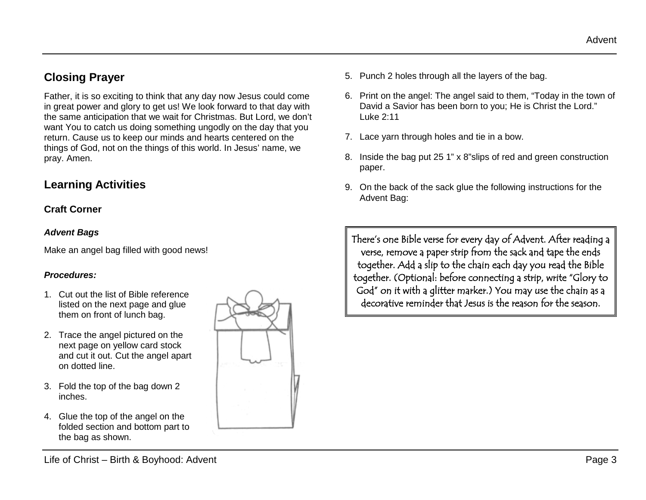# **Closing Prayer**

Father, it is so exciting to think that any day now Jesus could come in great power and glory to get us! We look forward to that day with the same anticipation that we wait for Christmas. But Lord, we don't want You to catch us doing something ungodly on the day that you return. Cause us to keep our minds and hearts centered on the things of God, not on the things of this world. In Jesus' name, we pray. Amen.

# **Learning Activities**

#### **Craft Corner**

#### *Advent Bags*

Make an angel bag filled with good news!

#### *Procedures:*

- 1. Cut out the list of Bible reference listed on the next page and glue them on front of lunch bag.
- 2. Trace the angel pictured on the next page on yellow card stock and cut it out. Cut the angel apart on dotted line.
- 3. Fold the top of the bag down 2 inches.
- 4. Glue the top of the angel on the folded section and bottom part to the bag as shown.



- 5. Punch 2 holes through all the layers of the bag.
- 6. Print on the angel: The angel said to them, "Today in the town of David a Savior has been born to you; He is Christ the Lord." Luke 2:11
- 7. Lace yarn through holes and tie in a bow.
- 8. Inside the bag put 25 1" x 8"slips of red and green construction paper.
- 9. On the back of the sack glue the following instructions for the Advent Bag:

There's one Bible verse for every day of Advent. After reading a verse, remove a paper strip from the sack and tape the ends together. Add a slip to the chain each day you read the Bible together. (Optional: before connecting a strip, write "Glory to God" on it with a glitter marker.) You may use the chain as a decorative reminder that Jesus is the reason for the season.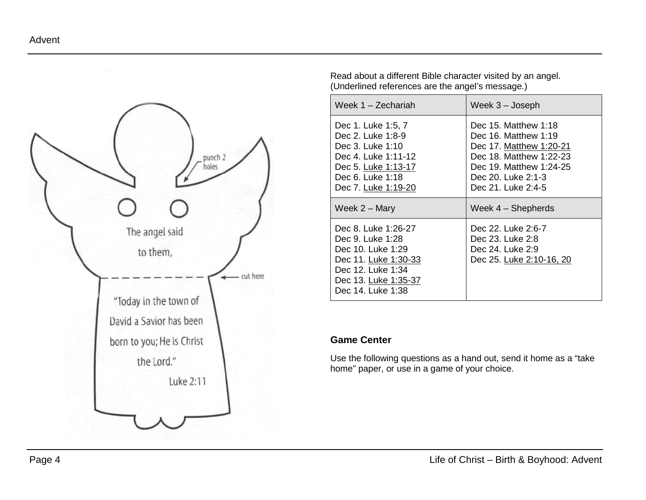

Read about a different Bible character visited by an angel. (Underlined references are the angel's message.)

| Week 1 - Zechariah                                                                                                                                   | Week 3 – Joseph                                                                                                                                                                |
|------------------------------------------------------------------------------------------------------------------------------------------------------|--------------------------------------------------------------------------------------------------------------------------------------------------------------------------------|
| Dec 1. Luke 1:5, 7<br>Dec 2. Luke 1:8-9<br>Dec 3. Luke 1:10<br>Dec 4. Luke 1:11-12<br>Dec 5. Luke 1:13-17<br>Dec 6. Luke 1:18<br>Dec 7. Luke 1:19-20 | Dec 15, Matthew 1:18<br>Dec $16$ . Matthew $1:19$<br>Dec 17. Matthew 1:20-21<br>Dec 18. Matthew 1:22-23<br>Dec 19. Matthew 1:24-25<br>Dec 20. Luke 2:1-3<br>Dec 21. Luke 2:4-5 |
|                                                                                                                                                      |                                                                                                                                                                                |
| Week 2 – Mary                                                                                                                                        | Week $4 -$ Shepherds                                                                                                                                                           |

#### **Game Center**

Use the following questions as a hand out, send it home as a "take home" paper, or use in a game of your choice.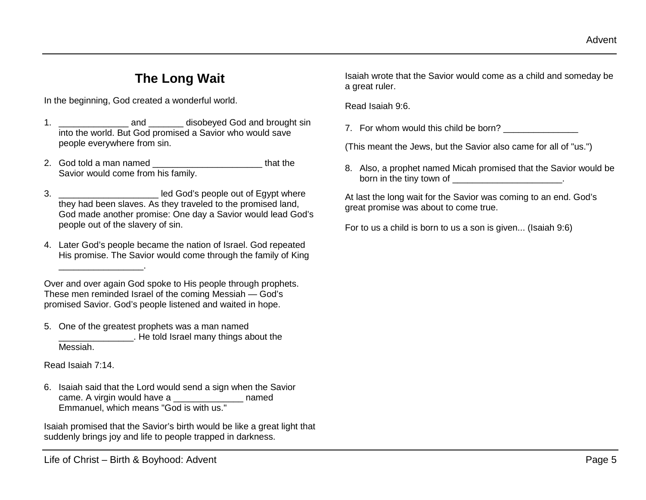# **The Long Wait**

In the beginning, God created a wonderful world.

- 1. **and** and **disobeyed God and brought sin** into the world. But God promised a Savior who would save people everywhere from sin.
- 2. God told a man named \_\_\_\_\_\_\_\_\_\_\_\_\_\_\_\_\_\_\_\_\_\_\_\_\_\_\_\_\_\_that the Savior would come from his family.
- 3. **3. Show Reserve Legisland School** and God's people out of Egypt where they had been slaves. As they traveled to the promised land, God made another promise: One day a Savior would lead God's people out of the slavery of sin.
- 4. Later God's people became the nation of Israel. God repeated His promise. The Savior would come through the family of King

Over and over again God spoke to His people through prophets. These men reminded Israel of the coming Messiah — God's promised Savior. God's people listened and waited in hope.

5. One of the greatest prophets was a man named \_\_\_\_\_\_\_\_\_\_\_\_\_\_\_. He told Israel many things about the Messiah.

Read Isaiah 7:14.

 $\overline{\phantom{a}}$  , and the set of the set of the set of the set of the set of the set of the set of the set of the set of the set of the set of the set of the set of the set of the set of the set of the set of the set of the s

6. Isaiah said that the Lord would send a sign when the Savior came. A virgin would have a measure of the named Emmanuel, which means "God is with us."

Isaiah promised that the Savior's birth would be like a great light that suddenly brings joy and life to people trapped in darkness.

Isaiah wrote that the Savior would come as a child and someday be a great ruler.

Read Isaiah 9:6.

7. For whom would this child be born?

(This meant the Jews, but the Savior also came for all of "us.")

8. Also, a prophet named Micah promised that the Savior would be born in the tiny town of \_\_\_\_\_\_\_\_\_\_\_\_\_\_\_\_\_\_\_\_\_\_\_\_\_\_\_.

At last the long wait for the Savior was coming to an end. God's great promise was about to come true.

For to us a child is born to us a son is given... (Isaiah 9:6)